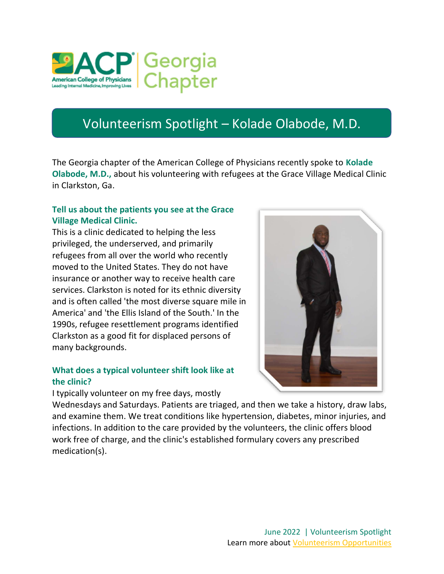

## Volunteerism Spotlight – Kolade Olabode, M.D.

The Georgia chapter of the American College of Physicians recently spoke to Kolade Olabode, M.D., about his volunteering with refugees at the Grace Village Medical Clinic in Clarkston, Ga.

## Tell us about the patients you see at the Grace Village Medical Clinic.

This is a clinic dedicated to helping the less privileged, the underserved, and primarily refugees from all over the world who recently moved to the United States. They do not have insurance or another way to receive health care services. Clarkston is noted for its ethnic diversity and is often called 'the most diverse square mile in America' and 'the Ellis Island of the South.' In the 1990s, refugee resettlement programs identified Clarkston as a good fit for displaced persons of many backgrounds.

## What does a typical volunteer shift look like at the clinic?

I typically volunteer on my free days, mostly



Wednesdays and Saturdays. Patients are triaged, and then we take a history, draw labs, and examine them. We treat conditions like hypertension, diabetes, minor injuries, and infections. In addition to the care provided by the volunteers, the clinic offers blood work free of charge, and the clinic's established formulary covers any prescribed medication(s).